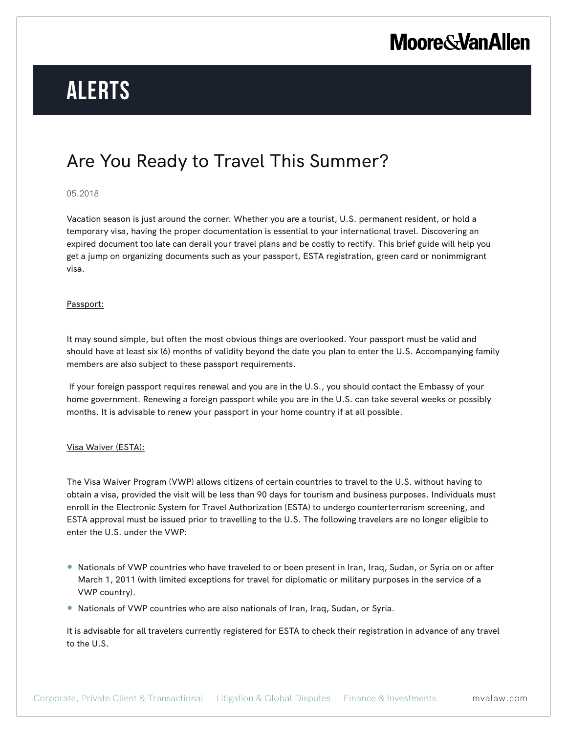## **Moore & Van Allen**

# **Alerts**

### Are You Ready to Travel This Summer?

### 05.2018

Vacation season is just around the corner. Whether you are a tourist, U.S. permanent resident, or hold a temporary visa, having the proper documentation is essential to your international travel. Discovering an expired document too late can derail your travel plans and be costly to rectify. This brief guide will help you get a jump on organizing documents such as your passport, ESTA registration, green card or nonimmigrant visa.

#### Passport:

It may sound simple, but often the most obvious things are overlooked. Your passport must be valid and should have at least six (6) months of validity beyond the date you plan to enter the U.S. Accompanying family members are also subject to these passport requirements.

 If your foreign passport requires renewal and you are in the U.S., you should contact the Embassy of your home government. Renewing a foreign passport while you are in the U.S. can take several weeks or possibly months. It is advisable to renew your passport in your home country if at all possible.

### Visa Waiver (ESTA):

The Visa Waiver Program (VWP) allows citizens of certain countries to travel to the U.S. without having to obtain a visa, provided the visit will be less than 90 days for tourism and business purposes. Individuals must enroll in the Electronic System for Travel Authorization (ESTA) to undergo counterterrorism screening, and ESTA approval must be issued prior to travelling to the U.S. The following travelers are no longer eligible to enter the U.S. under the VWP:

- Nationals of VWP countries who have traveled to or been present in Iran, Iraq, Sudan, or Syria on or after March 1, 2011 (with limited exceptions for travel for diplomatic or military purposes in the service of a VWP country).
- Nationals of VWP countries who are also nationals of Iran, Iraq, Sudan, or Syria.

It is advisable for all travelers currently registered for ESTA to check their registration in advance of any travel to the U.S.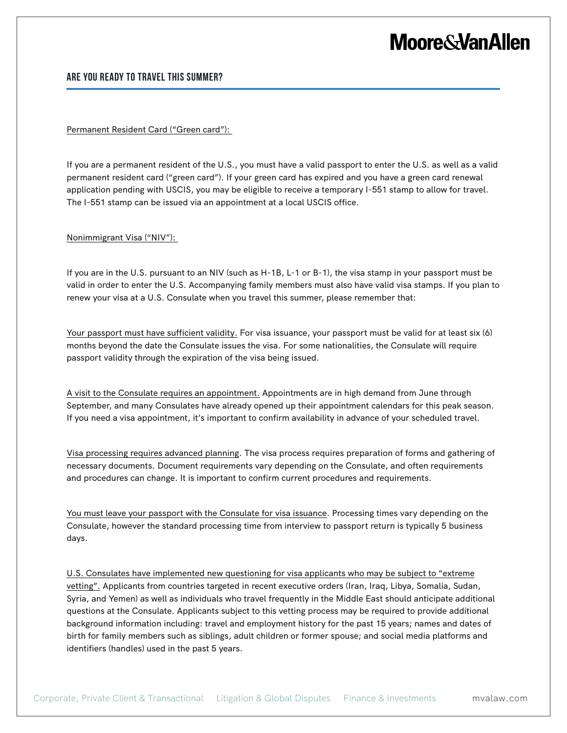### **Moore&VanAllen**

### **Are You Ready to Travel This Summer?**

### Permanent Resident Card ("Green card"):

If you are a permanent resident of the U.S., you must have a valid passport to enter the U.S. as well as a valid permanent resident card ("green card"). If your green card has expired and you have a green card renewal application pending with USCIS, you may be eligible to receive a temporary I-551 stamp to allow for travel. The I-551 stamp can be issued via an appointment at a local USCIS office.

#### Nonimmigrant Visa ("NIV"):

If you are in the U.S. pursuant to an NIV (such as H-1B, L-1 or B-1), the visa stamp in your passport must be valid in order to enter the U.S. Accompanying family members must also have valid visa stamps. If you plan to renew your visa at a U.S. Consulate when you travel this summer, please remember that:

Your passport must have sufficient validity. For visa issuance, your passport must be valid for at least six (6) months beyond the date the Consulate issues the visa. For some nationalities, the Consulate will require passport validity through the expiration of the visa being issued.

A visit to the Consulate requires an appointment. Appointments are in high demand from June through September, and many Consulates have already opened up their appointment calendars for this peak season. If you need a visa appointment, it's important to confirm availability in advance of your scheduled travel.

Visa processing requires advanced planning. The visa process requires preparation of forms and gathering of necessary documents. Document requirements vary depending on the Consulate, and often requirements and procedures can change. It is important to confirm current procedures and requirements.

You must leave your passport with the Consulate for visa issuance. Processing times vary depending on the Consulate, however the standard processing time from interview to passport return is typically 5 business days.

U.S. Consulates have implemented new questioning for visa applicants who may be subject to "extreme vetting". Applicants from countries targeted in recent executive orders (Iran, Iraq, Libya, Somalia, Sudan, Syria, and Yemen) as well as individuals who travel frequently in the Middle East should anticipate additional questions at the Consulate. Applicants subject to this vetting process may be required to provide additional background information including: travel and employment history for the past 15 years; names and dates of birth for family members such as siblings, adult children or former spouse; and social media platforms and identifiers (handles) used in the past 5 years.